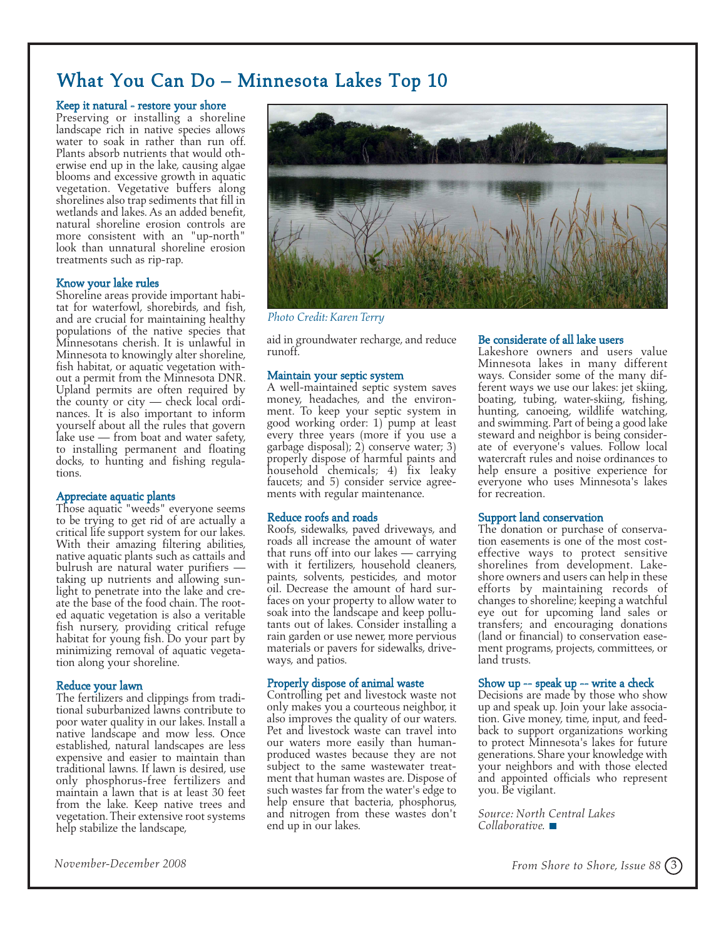## What You Can Do – Minnesota Lakes Top 10

#### Keep it natural - restore your shore

Preserving or installing a shoreline landscape rich in native species allows water to soak in rather than run off. Plants absorb nutrients that would otherwise end up in the lake, causing algae blooms and excessive growth in aquatic vegetation. Vegetative buffers along shorelines also trap sediments that fill in wetlands and lakes. As an added benefit, natural shoreline erosion controls are more consistent with an "up-north" look than unnatural shoreline erosion treatments such as rip-rap.

#### Know your lake rules

Shoreline areas provide important habitat for waterfowl, shorebirds, and fish, and are crucial for maintaining healthy populations of the native species that Minnesotans cherish. It is unlawful in Minnesota to knowingly alter shoreline, fish habitat, or aquatic vegetation without a permit from the Minnesota DNR. Upland permits are often required by the county or city — check local ordinances. It is also important to inform yourself about all the rules that govern lake use — from boat and water safety, to installing permanent and floating docks, to hunting and fishing regulations.

#### Appreciate aquatic plants

Those aquatic "weeds" everyone seems to be trying to get rid of are actually a critical life support system for our lakes. With their amazing filtering abilities, native aquatic plants such as cattails and bulrush are natural water purifiers taking up nutrients and allowing sunlight to penetrate into the lake and create the base of the food chain. The rooted aquatic vegetation is also a veritable fish nursery, providing critical refuge habitat for young fish. Do your part by minimizing removal of aquatic vegetation along your shoreline.

#### Reduce your lawn

The fertilizers and clippings from traditional suburbanized lawns contribute to poor water quality in our lakes. Install a native landscape and mow less. Once established, natural landscapes are less expensive and easier to maintain than traditional lawns. If lawn is desired, use only phosphorus-free fertilizers and maintain a lawn that is at least 30 feet from the lake. Keep native trees and vegetation. Their extensive root systems help stabilize the landscape,



*Photo Credit:Karen Terry*

aid in groundwater recharge, and reduce runoff.

#### Maintain your septic system

<sup>A</sup> well-maintained septic system saves money, headaches, and the environ- ment. To keep your septic system in good working order: 1) pump at least every three years (more if you use a garbage disposal); 2) conserve water; 3) properly dispose of harmful paints and household chemicals; 4) fix leaky faucets; and 5) consider service agree- ments with regular maintenance.

Reduce roofs and roads<br>Roofs, sidewalks, paved driveways, and roads all increase the amount of water<br>that runs off into our lakes — carrying<br>with it fertilizers, household cleaners,<br>paints, solvents, pesticides, and motor<br>oil. Decrease the amount of hard sur-<br>faces on your property t tants out of lakes. Consider installing a rain garden or use newer, more pervious materials or pavers for sidewalks, drive-ways, and patios.

### Properly dispose of animal waste

Controlling pet and livestock waste not only makes you a courteous neighbor, it also improves the quality of our waters. Pet and livestock waste can travel into our waters more easily than humanproduced wastes because they are not subject to the same wastewater treat- ment that human wastes are. Dispose of such wastes far from the water's edge to<br>help ensure that bacteria, phosphorus, and nitrogen from these wastes don't end up in our lakes.

#### Be considerate of all lake users

Lakeshore owners and users value<br>Minnesota lakes in many different ways. Consider some of the many dif-<br>ferent ways we use our lakes: jet skiing,<br>boating, tubing, water-skiing, fishing,<br>hunting, canoeing, wildlife watching,<br>and swimming. Part of being a good lake steward and neighbor is being considerate of everyone's values. Follow local watercraft rules and noise ordinances to help ensure a positive experience for everyone who uses Minnesota's lakes for recreation.

Support land conservation<br>The donation or purchase of conservation easements is one of the most cost-<br>effective ways to protect sensitive shorelines from development. Lake-<br>shore owners and users can help in these efforts by maintaining records of changes to shoreline; keeping a watchful transfers; and encouraging donations<br>(land or financial) to conservation easement programs, projects, committees, or land trusts.

### Show up -- speak up -- write a check

Decisions are made by those who show up and speak up. Join your lake association. Give money, time, input, and feedback to support organizations working to protect Minnesota's lakes for future generations. Share your knowledge with your neighbors and with those elected and appointed officials who represent you. Be vigilant.

*Source: North Central Lakes Collaborative.*